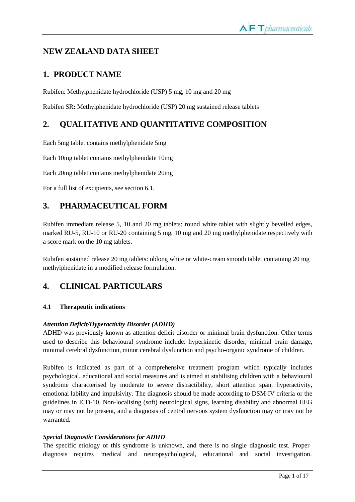# **NEW ZEALAND DATA SHEET**

# **1. PRODUCT NAME**

Rubifen: Methylphenidate hydrochloride (USP) 5 mg, 10 mg and 20 mg

Rubifen SR**:** Methylphenidate hydrochloride (USP) 20 mg sustained release tablets

# **2. QUALITATIVE AND QUANTITATIVE COMPOSITION**

Each 5mg tablet contains methylphenidate 5mg

Each 10mg tablet contains methylphenidate 10mg

Each 20mg tablet contains methylphenidate 20mg

For a full list of excipients, see section 6.1.

# **3. PHARMACEUTICAL FORM**

Rubifen immediate release 5, 10 and 20 mg tablets: round white tablet with slightly bevelled edges, marked RU-5, RU-10 or RU-20 containing 5 mg, 10 mg and 20 mg methylphenidate respectively with a score mark on the 10 mg tablets.

Rubifen sustained release 20 mg tablets: oblong white or white-cream smooth tablet containing 20 mg methylphenidate in a modified release formulation.

# **4. CLINICAL PARTICULARS**

# **4.1 Therapeutic indications**

# *Attention Deficit/Hyperactivity Disorder (ADHD)*

ADHD was previously known as attention-deficit disorder or minimal brain dysfunction. Other terms used to describe this behavioural syndrome include: hyperkinetic disorder, minimal brain damage, minimal cerebral dysfunction, minor cerebral dysfunction and psycho-organic syndrome of children.

Rubifen is indicated as part of a comprehensive treatment program which typically includes psychological, educational and social measures and is aimed at stabilising children with a behavioural syndrome characterised by moderate to severe distractibility, short attention span, hyperactivity, emotional lability and impulsivity. The diagnosis should be made according to DSM-IV criteria or the guidelines in ICD-10. Non-localising (soft) neurological signs, learning disability and abnormal EEG may or may not be present, and a diagnosis of central nervous system dysfunction may or may not be warranted.

# *Special Diagnostic Considerations for ADHD*

The specific etiology of this syndrome is unknown, and there is no single diagnostic test. Proper diagnosis requires medical and neuropsychological, educational and social investigation.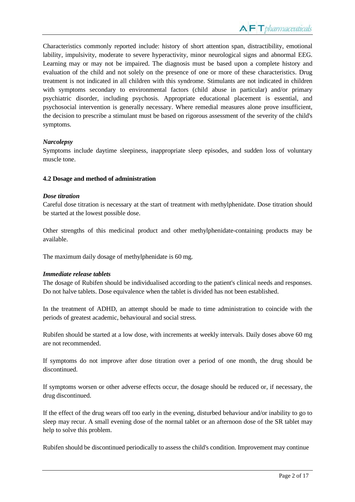Characteristics commonly reported include: history of short attention span, distractibility, emotional lability, impulsivity, moderate to severe hyperactivity, minor neurological signs and abnormal EEG. Learning may or may not be impaired. The diagnosis must be based upon a complete history and evaluation of the child and not solely on the presence of one or more of these characteristics. Drug treatment is not indicated in all children with this syndrome. Stimulants are not indicated in children with symptoms secondary to environmental factors (child abuse in particular) and/or primary psychiatric disorder, including psychosis. Appropriate educational placement is essential, and psychosocial intervention is generally necessary. Where remedial measures alone prove insufficient, the decision to prescribe a stimulant must be based on rigorous assessment of the severity of the child's symptoms.

# *Narcolepsy*

Symptoms include daytime sleepiness, inappropriate sleep episodes, and sudden loss of voluntary muscle tone.

#### **4.2 Dosage and method of administration**

#### *Dose titration*

Careful dose titration is necessary at the start of treatment with methylphenidate. Dose titration should be started at the lowest possible dose.

Other strengths of this medicinal product and other methylphenidate-containing products may be available.

The maximum daily dosage of methylphenidate is 60 mg.

#### *Immediate release tablets*

The dosage of Rubifen should be individualised according to the patient's clinical needs and responses. Do not halve tablets. Dose equivalence when the tablet is divided has not been established.

In the treatment of ADHD, an attempt should be made to time administration to coincide with the periods of greatest academic, behavioural and social stress.

Rubifen should be started at a low dose, with increments at weekly intervals. Daily doses above 60 mg are not recommended.

If symptoms do not improve after dose titration over a period of one month, the drug should be discontinued.

If symptoms worsen or other adverse effects occur, the dosage should be reduced or, if necessary, the drug discontinued.

If the effect of the drug wears off too early in the evening, disturbed behaviour and/or inability to go to sleep may recur. A small evening dose of the normal tablet or an afternoon dose of the SR tablet may help to solve this problem.

Rubifen should be discontinued periodically to assess the child's condition. Improvement may continue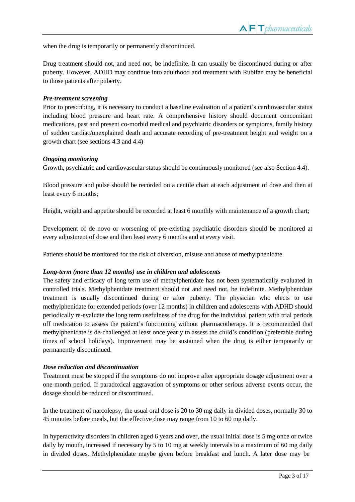when the drug is temporarily or permanently discontinued.

Drug treatment should not, and need not, be indefinite. It can usually be discontinued during or after puberty. However, ADHD may continue into adulthood and treatment with Rubifen may be beneficial to those patients after puberty.

#### *Pre-treatment screening*

Prior to prescribing, it is necessary to conduct a baseline evaluation of a patient's cardiovascular status including blood pressure and heart rate. A comprehensive history should document concomitant medications, past and present co-morbid medical and psychiatric disorders or symptoms, family history of sudden cardiac/unexplained death and accurate recording of pre-treatment height and weight on a growth chart (see sections 4.3 and 4.4)

#### *Ongoing monitoring*

Growth, psychiatric and cardiovascular status should be continuously monitored (see also Section 4.4).

Blood pressure and pulse should be recorded on a centile chart at each adjustment of dose and then at least every 6 months;

Height, weight and appetite should be recorded at least 6 monthly with maintenance of a growth chart;

Development of de novo or worsening of pre-existing psychiatric disorders should be monitored at every adjustment of dose and then least every 6 months and at every visit.

Patients should be monitored for the risk of diversion, misuse and abuse of methylphenidate.

# *Long-term (more than 12 months) use in children and adolescents*

The safety and efficacy of long term use of methylphenidate has not been systematically evaluated in controlled trials. Methylphenidate treatment should not and need not, be indefinite. Methylphenidate treatment is usually discontinued during or after puberty. The physician who elects to use methylphenidate for extended periods (over 12 months) in children and adolescents with ADHD should periodically re-evaluate the long term usefulness of the drug for the individual patient with trial periods off medication to assess the patient's functioning without pharmacotherapy. It is recommended that methylphenidate is de-challenged at least once yearly to assess the child's condition (preferable during times of school holidays). Improvement may be sustained when the drug is either temporarily or permanently discontinued.

# *Dose reduction and discontinuation*

Treatment must be stopped if the symptoms do not improve after appropriate dosage adjustment over a one-month period. If paradoxical aggravation of symptoms or other serious adverse events occur, the dosage should be reduced or discontinued.

In the treatment of narcolepsy, the usual oral dose is 20 to 30 mg daily in divided doses, normally 30 to 45 minutes before meals, but the effective dose may range from 10 to 60 mg daily.

In hyperactivity disorders in children aged 6 years and over, the usual initial dose is 5 mg once or twice daily by mouth, increased if necessary by 5 to 10 mg at weekly intervals to a maximum of 60 mg daily in divided doses. Methylphenidate maybe given before breakfast and lunch. A later dose may be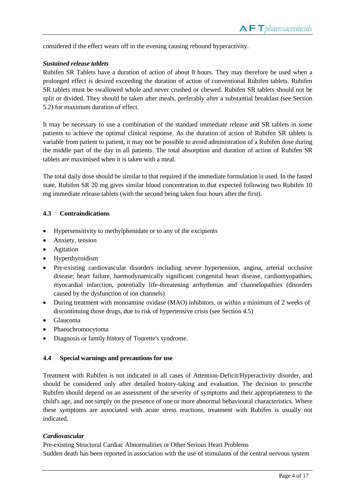considered if the effect wears off in the evening causing rebound hyperactivity.

#### *Sustained release tablets*

Rubifen SR Tablets have a duration of action of about 8 hours. They may therefore be used when a prolonged effect is desired exceeding the duration of action of conventional Rubifen tablets. Rubifen SR tablets must be swallowed whole and never crushed or chewed. Rubifen SR tablets should not be split or divided. They should be taken after meals, preferably after a substantial breakfast (see Section 5.2) for maximum duration of effect.

It may be necessary to use a combination of the standard immediate release and SR tablets in some patients to achieve the optimal clinical response. As the duration of action of Rubifen SR tablets is variable from patient to patient, it may not be possible to avoid administration of a Rubifen dose during the middle part of the day in all patients. The total absorption and duration of action of Rubifen SR tablets are maximised when it is taken with a meal.

The total daily dose should be similar to that required if the immediate formulation is used. In the fasted state, Rubifen SR 20 mg gives similar blood concentration to that expected following two Rubifen 10 mg immediate release tablets (with the second being taken four hours after the first).

#### **4.3 Contraindications**

- Hypersensitivity to methylphenidate or to any of the excipients
- Anxiety, tension
- Agitation
- Hyperthyroidism
- Pre-existing cardiovascular disorders including severe hypertension, angina, arterial occlusive disease; heart failure, haemodynamically significant congenital heart disease, cardiomyopathies, myocardial infarction, potentially life-threatening arrhythmias and channelopathies (disorders caused by the dysfunction of ion channels)
- During treatment with monoamine oxidase (MAO) inhibitors, or within a minimum of 2 weeks of discontinuing those drugs, due to risk of hypertensive crisis (see Section 4.5)
- Glaucoma
- Phaeochromocytoma
- Diagnosis or family history of Tourette's syndrome.

#### **4.4 Special warnings and precautions for use**

Treatment with Rubifen is not indicated in all cases of Attention-Deficit/Hyperactivity disorder, and should be considered only after detailed history-taking and evaluation. The decision to prescribe Rubifen should depend on an assessment of the severity of symptoms and their appropriateness to the child's age, and not simply on the presence of one or more abnormal behavioural characteristics. Where these symptoms are associated with acute stress reactions, treatment with Rubifen is usually not indicated.

#### *Cardiovascular*

Pre-existing Structural Cardiac Abnormalities or Other Serious Heart Problems Sudden death has been reported in association with the use of stimulants of the central nervous system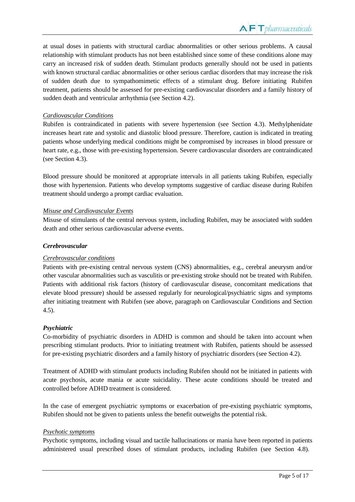at usual doses in patients with structural cardiac abnormalities or other serious problems. A causal relationship with stimulant products has not been established since some of these conditions alone may carry an increased risk of sudden death. Stimulant products generally should not be used in patients with known structural cardiac abnormalities or other serious cardiac disorders that may increase the risk of sudden death due to sympathomimetic effects of a stimulant drug. Before initiating Rubifen treatment, patients should be assessed for pre-existing cardiovascular disorders and a family history of sudden death and ventricular arrhythmia (see Section 4.2).

#### *Cardiovascular Conditions*

Rubifen is contraindicated in patients with severe hypertension (see Section 4.3). Methylphenidate increases heart rate and systolic and diastolic blood pressure. Therefore, caution is indicated in treating patients whose underlying medical conditions might be compromised by increases in blood pressure or heart rate, e.g., those with pre-existing hypertension. Severe cardiovascular disorders are contraindicated (see Section 4.3).

Blood pressure should be monitored at appropriate intervals in all patients taking Rubifen, especially those with hypertension. Patients who develop symptoms suggestive of cardiac disease during Rubifen treatment should undergo a prompt cardiac evaluation.

#### *Misuse and Cardiovascular Events*

Misuse of stimulants of the central nervous system, including Rubifen, may be associated with sudden death and other serious cardiovascular adverse events.

#### *Cerebrovascular*

# *Cerebrovascular conditions*

Patients with pre-existing central nervous system (CNS) abnormalities, e.g., cerebral aneurysm and/or other vascular abnormalities such as vasculitis or pre-existing stroke should not be treated with Rubifen. Patients with additional risk factors (history of cardiovascular disease, concomitant medications that elevate blood pressure) should be assessed regularly for neurological/psychiatric signs and symptoms after initiating treatment with Rubifen (see above, paragraph on Cardiovascular Conditions and Section 4.5).

#### *Psychiatric*

Co-morbidity of psychiatric disorders in ADHD is common and should be taken into account when prescribing stimulant products. Prior to initiating treatment with Rubifen, patients should be assessed for pre-existing psychiatric disorders and a family history of psychiatric disorders (see Section 4.2).

Treatment of ADHD with stimulant products including Rubifen should not be initiated in patients with acute psychosis, acute mania or acute suicidality. These acute conditions should be treated and controlled before ADHD treatment is considered.

In the case of emergent psychiatric symptoms or exacerbation of pre-existing psychiatric symptoms, Rubifen should not be given to patients unless the benefit outweighs the potential risk.

#### *Psychotic symptoms*

Psychotic symptoms, including visual and tactile hallucinations or mania have been reported in patients administered usual prescribed doses of stimulant products, including Rubifen (see Section 4.8).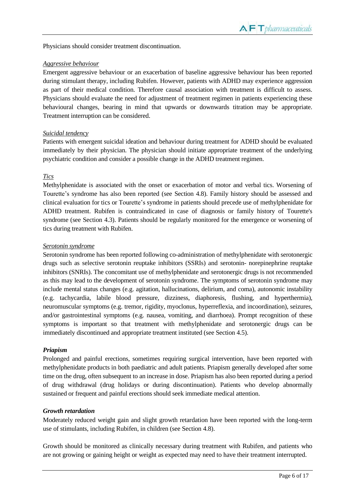Physicians should consider treatment discontinuation.

#### *Aggressive behaviour*

Emergent aggressive behaviour or an exacerbation of baseline aggressive behaviour has been reported during stimulant therapy, including Rubifen. However, patients with ADHD may experience aggression as part of their medical condition. Therefore causal association with treatment is difficult to assess. Physicians should evaluate the need for adjustment of treatment regimen in patients experiencing these behavioural changes, bearing in mind that upwards or downwards titration may be appropriate. Treatment interruption can be considered.

#### *Suicidal tendency*

Patients with emergent suicidal ideation and behaviour during treatment for ADHD should be evaluated immediately by their physician. The physician should initiate appropriate treatment of the underlying psychiatric condition and consider a possible change in the ADHD treatment regimen.

# *Tics*

Methylphenidate is associated with the onset or exacerbation of motor and verbal tics. Worsening of Tourette's syndrome has also been reported (see Section 4.8). Family history should be assessed and clinical evaluation for tics or Tourette's syndrome in patients should precede use of methylphenidate for ADHD treatment. Rubifen is contraindicated in case of diagnosis or family history of Tourette's syndrome (see Section 4.3). Patients should be regularly monitored for the emergence or worsening of tics during treatment with Rubifen.

#### *Serotonin syndrome*

Serotonin syndrome has been reported following co-administration of methylphenidate with serotonergic drugs such as selective serotonin reuptake inhibitors (SSRIs) and serotonin- norepinephrine reuptake inhibitors (SNRIs). The concomitant use of methylphenidate and serotonergic drugs is not recommended as this may lead to the development of serotonin syndrome. The symptoms of serotonin syndrome may include mental status changes (e.g. agitation, hallucinations, delirium, and coma), autonomic instability (e.g. tachycardia, labile blood pressure, dizziness, diaphoresis, flushing, and hyperthermia), neuromuscular symptoms (e.g. tremor, rigidity, myoclonus, hyperreflexia, and incoordination), seizures, and/or gastrointestinal symptoms (e.g. nausea, vomiting, and diarrhoea). Prompt recognition of these symptoms is important so that treatment with methylphenidate and serotonergic drugs can be immediately discontinued and appropriate treatment instituted (see Section 4.5).

# *Priapism*

Prolonged and painful erections, sometimes requiring surgical intervention, have been reported with methylphenidate products in both paediatric and adult patients. Priapism generally developed after some time on the drug, often subsequent to an increase in dose. Priapism has also been reported during a period of drug withdrawal (drug holidays or during discontinuation). Patients who develop abnormally sustained or frequent and painful erections should seek immediate medical attention.

#### *Growth retardation*

Moderately reduced weight gain and slight growth retardation have been reported with the long-term use of stimulants, including Rubifen, in children (see Section 4.8).

Growth should be monitored as clinically necessary during treatment with Rubifen, and patients who are not growing or gaining height or weight as expected may need to have their treatment interrupted.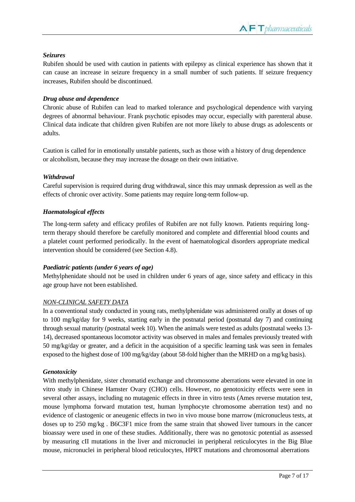# *Seizures*

Rubifen should be used with caution in patients with epilepsy as clinical experience has shown that it can cause an increase in seizure frequency in a small number of such patients. If seizure frequency increases, Rubifen should be discontinued.

# *Drug abuse and dependence*

Chronic abuse of Rubifen can lead to marked tolerance and psychological dependence with varying degrees of abnormal behaviour. Frank psychotic episodes may occur, especially with parenteral abuse. Clinical data indicate that children given Rubifen are not more likely to abuse drugs as adolescents or adults.

Caution is called for in emotionally unstable patients, such as those with a history of drug dependence or alcoholism, because they may increase the dosage on their own initiative.

# *Withdrawal*

Careful supervision is required during drug withdrawal, since this may unmask depression as well as the effects of chronic over activity. Some patients may require long-term follow-up.

# *Haematological effects*

The long-term safety and efficacy profiles of Rubifen are not fully known. Patients requiring longterm therapy should therefore be carefully monitored and complete and differential blood counts and a platelet count performed periodically. In the event of haematological disorders appropriate medical intervention should be considered (see Section 4.8).

# *Paediatric patients (under 6 years of age)*

Methylphenidate should not be used in children under 6 years of age, since safety and efficacy in this age group have not been established.

# *NON-CLINICAL SAFETY DATA*

In a conventional study conducted in young rats, methylphenidate was administered orally at doses of up to 100 mg/kg/day for 9 weeks, starting early in the postnatal period (postnatal day 7) and continuing through sexual maturity (postnatal week 10). When the animals were tested as adults (postnatal weeks 13- 14), decreased spontaneous locomotor activity was observed in males and females previously treated with 50 mg/kg/day or greater, and a deficit in the acquisition of a specific learning task was seen in females exposed to the highest dose of 100 mg/kg/day (about 58-fold higher than the MRHD on a mg/kg basis).

# *Genotoxicity*

With methylphenidate, sister chromatid exchange and chromosome aberrations were elevated in one in vitro study in Chinese Hamster Ovary (CHO) cells. However, no genotoxicity effects were seen in several other assays, including no mutagenic effects in three in vitro tests (Ames reverse mutation test, mouse lymphoma forward mutation test, human lymphocyte chromosome aberration test) and no evidence of clastogenic or aneugenic effects in two in vivo mouse bone marrow (micronucleus tests, at doses up to 250 mg/kg . B6C3F1 mice from the same strain that showed liver tumours in the cancer bioassay were used in one of these studies. Additionally, there was no genotoxic potential as assessed by measuring cII mutations in the liver and micronuclei in peripheral reticulocytes in the Big Blue mouse, micronuclei in peripheral blood reticulocytes, HPRT mutations and chromosomal aberrations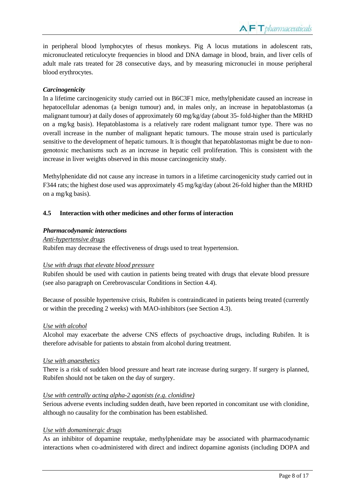in peripheral blood lymphocytes of rhesus monkeys. Pig A locus mutations in adolescent rats, micronucleated reticulocyte frequencies in blood and DNA damage in blood, brain, and liver cells of adult male rats treated for 28 consecutive days, and by measuring micronuclei in mouse peripheral blood erythrocytes.

# *Carcinogenicity*

In a lifetime carcinogenicity study carried out in B6C3F1 mice, methylphenidate caused an increase in hepatocellular adenomas (a benign tumour) and, in males only, an increase in hepatoblastomas (a malignant tumour) at daily doses of approximately 60 mg/kg/day (about 35- fold-higher than the MRHD on a mg/kg basis). Hepatoblastoma is a relatively rare rodent malignant tumor type. There was no overall increase in the number of malignant hepatic tumours. The mouse strain used is particularly sensitive to the development of hepatic tumours. It is thought that hepatoblastomas might be due to nongenotoxic mechanisms such as an increase in hepatic cell proliferation. This is consistent with the increase in liver weights observed in this mouse carcinogenicity study.

Methylphenidate did not cause any increase in tumors in a lifetime carcinogenicity study carried out in F344 rats; the highest dose used was approximately 45 mg/kg/day (about 26-fold higher than the MRHD on a mg/kg basis).

#### **4.5 Interaction with other medicines and other forms of interaction**

#### *Pharmacodynamic interactions*

*Anti-hypertensive drugs* Rubifen may decrease the effectiveness of drugs used to treat hypertension.

#### *Use with drugs that elevate blood pressure*

Rubifen should be used with caution in patients being treated with drugs that elevate blood pressure (see also paragraph on Cerebrovascular Conditions in Section 4.4).

Because of possible hypertensive crisis, Rubifen is contraindicated in patients being treated (currently or within the preceding 2 weeks) with MAO-inhibitors (see Section 4.3).

#### *Use with alcohol*

Alcohol may exacerbate the adverse CNS effects of psychoactive drugs, including Rubifen. It is therefore advisable for patients to abstain from alcohol during treatment.

#### *Use with anaesthetics*

There is a risk of sudden blood pressure and heart rate increase during surgery. If surgery is planned, Rubifen should not be taken on the day of surgery.

# *Use with centrally acting alpha-2 agonists (e.g. clonidine)*

Serious adverse events including sudden death, have been reported in concomitant use with clonidine, although no causality for the combination has been established.

#### *Use with domaminergic drugs*

As an inhibitor of dopamine reuptake, methylphenidate may be associated with pharmacodynamic interactions when co-administered with direct and indirect dopamine agonists (including DOPA and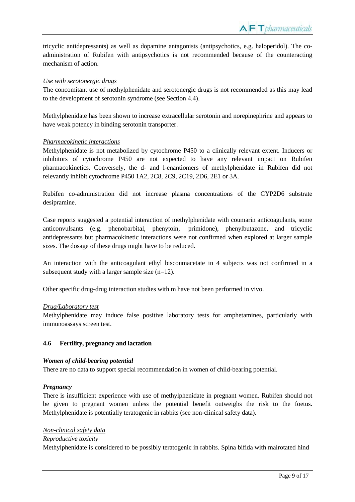tricyclic antidepressants) as well as dopamine antagonists (antipsychotics, e.g. haloperidol). The coadministration of Rubifen with antipsychotics is not recommended because of the counteracting mechanism of action.

#### *Use with serotonergic drugs*

The concomitant use of methylphenidate and serotonergic drugs is not recommended as this may lead to the development of serotonin syndrome (see Section 4.4).

Methylphenidate has been shown to increase extracellular serotonin and norepinephrine and appears to have weak potency in binding serotonin transporter.

#### *Pharmacokinetic interactions*

Methylphenidate is not metabolized by cytochrome P450 to a clinically relevant extent. Inducers or inhibitors of cytochrome P450 are not expected to have any relevant impact on Rubifen pharmacokinetics. Conversely, the d- and l-enantiomers of methylphenidate in Rubifen did not relevantly inhibit cytochrome P450 1A2, 2C8, 2C9, 2C19, 2D6, 2E1 or 3A.

Rubifen co-administration did not increase plasma concentrations of the CYP2D6 substrate desipramine.

Case reports suggested a potential interaction of methylphenidate with coumarin anticoagulants, some anticonvulsants (e.g. phenobarbital, phenytoin, primidone), phenylbutazone, and tricyclic antidepressants but pharmacokinetic interactions were not confirmed when explored at larger sample sizes. The dosage of these drugs might have to be reduced.

An interaction with the anticoagulant ethyl biscoumacetate in 4 subjects was not confirmed in a subsequent study with a larger sample size (n=12).

Other specific drug-drug interaction studies with m have not been performed in vivo.

#### *Drug/Laboratory test*

Methylphenidate may induce false positive laboratory tests for amphetamines, particularly with immunoassays screen test.

#### **4.6 Fertility, pregnancy and lactation**

#### *Women of child-bearing potential*

There are no data to support special recommendation in women of child-bearing potential.

#### *Pregnancy*

There is insufficient experience with use of methylphenidate in pregnant women. Rubifen should not be given to pregnant women unless the potential benefit outweighs the risk to the foetus. Methylphenidate is potentially teratogenic in rabbits (see non-clinical safety data).

#### *Non-clinical safety data*

#### *Reproductive toxicity*

Methylphenidate is considered to be possibly teratogenic in rabbits. Spina bifida with malrotated hind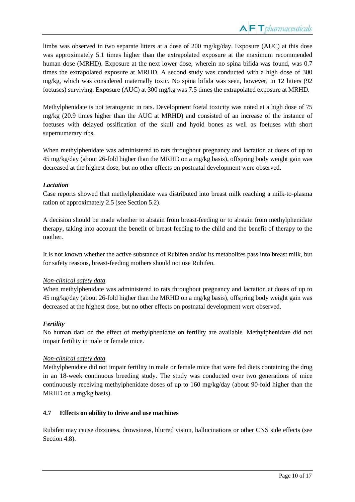limbs was observed in two separate litters at a dose of 200 mg/kg/day. Exposure (AUC) at this dose was approximately 5.1 times higher than the extrapolated exposure at the maximum recommended human dose (MRHD). Exposure at the next lower dose, wherein no spina bifida was found, was 0.7 times the extrapolated exposure at MRHD. A second study was conducted with a high dose of 300 mg/kg, which was considered maternally toxic. No spina bifida was seen, however, in 12 litters (92 foetuses) surviving. Exposure (AUC) at 300 mg/kg was 7.5 times the extrapolated exposure at MRHD.

Methylphenidate is not teratogenic in rats. Development foetal toxicity was noted at a high dose of 75 mg/kg (20.9 times higher than the AUC at MRHD) and consisted of an increase of the instance of foetuses with delayed ossification of the skull and hyoid bones as well as foetuses with short supernumerary ribs.

When methylphenidate was administered to rats throughout pregnancy and lactation at doses of up to 45 mg/kg/day (about 26-fold higher than the MRHD on a mg/kg basis), offspring body weight gain was decreased at the highest dose, but no other effects on postnatal development were observed.

# *Lactation*

Case reports showed that methylphenidate was distributed into breast milk reaching a milk-to-plasma ration of approximately 2.5 (see Section 5.2).

A decision should be made whether to abstain from breast-feeding or to abstain from methylphenidate therapy, taking into account the benefit of breast-feeding to the child and the benefit of therapy to the mother.

It is not known whether the active substance of Rubifen and/or its metabolites pass into breast milk, but for safety reasons, breast-feeding mothers should not use Rubifen.

# *Non-clinical safety data*

When methylphenidate was administered to rats throughout pregnancy and lactation at doses of up to 45 mg/kg/day (about 26-fold higher than the MRHD on a mg/kg basis), offspring body weight gain was decreased at the highest dose, but no other effects on postnatal development were observed.

# *Fertility*

No human data on the effect of methylphenidate on fertility are available. Methylphenidate did not impair fertility in male or female mice.

# *Non-clinical safety data*

Methylphenidate did not impair fertility in male or female mice that were fed diets containing the drug in an 18-week continuous breeding study. The study was conducted over two generations of mice continuously receiving methylphenidate doses of up to 160 mg/kg/day (about 90-fold higher than the MRHD on a mg/kg basis).

# **4.7 Effects on ability to drive and use machines**

Rubifen may cause dizziness, drowsiness, blurred vision, hallucinations or other CNS side effects (see Section 4.8).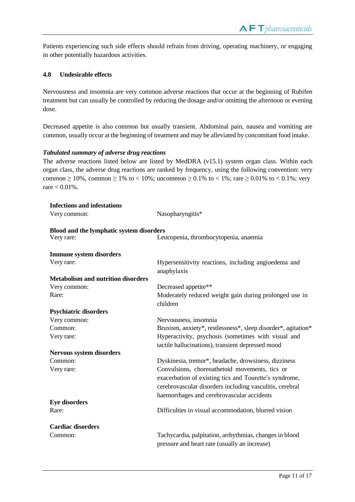Patients experiencing such side effects should refrain from driving, operating machinery, or engaging in other potentially hazardous activities.

### **4.8 Undesirable effects**

Nervousness and insomnia are very common adverse reactions that occur at the beginning of Rubifen treatment but can usually be controlled by reducing the dosage and/or omitting the afternoon or evening dose.

Decreased appetite is also common but usually transient. Abdominal pain, nausea and vomiting are common, usually occur at the beginning of treatment and may be alleviated by concomitant food intake.

#### *Tabulated summary of adverse drug reactions*

The adverse reactions listed below are listed by MedDRA (v15.1) system organ class. Within each organ class, the adverse drug reactions are ranked by frequency, using the following convention: very common ≥ 10%, common ≥ 1% to < 10%; uncommon ≥ 0.1% to < 1%; rare ≥ 0.01% to < 0.1%; very  $r = 0.01\%$ .

| Nasopharyngitis*                                                                  |
|-----------------------------------------------------------------------------------|
|                                                                                   |
| Blood and the lymphatic system disorders<br>Leucopenia, thrombocytopenia, anaemia |
|                                                                                   |
|                                                                                   |
| Hypersensitivity reactions, including angioedema and<br>anaphylaxis               |
|                                                                                   |
| Decreased appetite**                                                              |
| Moderately reduced weight gain during prolonged use in<br>children                |
|                                                                                   |
| Nervousness, insomnia                                                             |
| Bruxism, anxiety*, restlessness*, sleep disorder*, agitation*                     |
| Hyperactivity, psychosis (sometimes with visual and                               |
| tactile hallucinations), transient depressed mood                                 |
|                                                                                   |
| Dyskinesia, tremor*, headache, drowsiness, dizziness                              |
| Convulsions, choreoathetoid movements, tics or                                    |
| exacerbation of existing tics and Tourette's syndrome,                            |
| cerebrovascular disorders including vasculitis, cerebral                          |
| haemorrhages and cerebrovascular accidents                                        |
|                                                                                   |
| Difficulties in visual accommodation, blurred vision                              |
|                                                                                   |
| Tachycardia, palpitation, arrhythmias, changes in blood                           |
| pressure and heart rate (usually an increase)                                     |
|                                                                                   |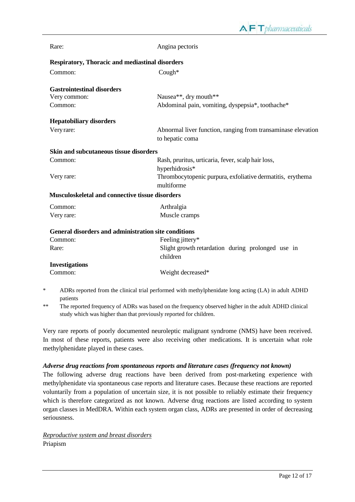| Rare:                                                       | Angina pectoris                                                                                     |  |  |  |
|-------------------------------------------------------------|-----------------------------------------------------------------------------------------------------|--|--|--|
| <b>Respiratory, Thoracic and mediastinal disorders</b>      |                                                                                                     |  |  |  |
| Common:                                                     | $Cough*$                                                                                            |  |  |  |
| <b>Gastrointestinal disorders</b>                           |                                                                                                     |  |  |  |
| Very common:                                                | Nausea**, dry mouth**                                                                               |  |  |  |
| Common:                                                     | Abdominal pain, vomiting, dyspepsia*, toothache*                                                    |  |  |  |
| <b>Hepatobiliary disorders</b>                              |                                                                                                     |  |  |  |
| Very rare:                                                  | Abnormal liver function, ranging from transaminase elevation<br>to hepatic coma                     |  |  |  |
| Skin and subcutaneous tissue disorders                      |                                                                                                     |  |  |  |
| Common:                                                     | Rash, pruritus, urticaria, fever, scalp hair loss,<br>hyperhidrosis*                                |  |  |  |
| Very rare:                                                  | Thrombocytopenic purpura, exfoliative dermatitis, erythema<br>multiforme                            |  |  |  |
| <b>Musculoskeletal and connective tissue disorders</b>      |                                                                                                     |  |  |  |
| Common:                                                     | Arthralgia                                                                                          |  |  |  |
| Very rare:                                                  | Muscle cramps                                                                                       |  |  |  |
| <b>General disorders and administration site conditions</b> |                                                                                                     |  |  |  |
| Common:                                                     | Feeling jittery*                                                                                    |  |  |  |
| Rare:                                                       | Slight growth retardation during prolonged use in<br>children                                       |  |  |  |
| <b>Investigations</b>                                       |                                                                                                     |  |  |  |
| Common:                                                     | Weight decreased*                                                                                   |  |  |  |
|                                                             | ADRs reported from the clinical trial performed with methylphenidate long acting (LA) in adult ADHD |  |  |  |

patients

\*\* The reported frequency of ADRs was based on the frequency observed higher in the adult ADHD clinical study which was higher than that previously reported for children.

Very rare reports of poorly documented neuroleptic malignant syndrome (NMS) have been received. In most of these reports, patients were also receiving other medications. It is uncertain what role methylphenidate played in these cases.

#### *Adverse drug reactions from spontaneous reports and literature cases (frequency not known)*

The following adverse drug reactions have been derived from post-marketing experience with methylphenidate via spontaneous case reports and literature cases. Because these reactions are reported voluntarily from a population of uncertain size, it is not possible to reliably estimate their frequency which is therefore categorized as not known. Adverse drug reactions are listed according to system organ classes in MedDRA. Within each system organ class, ADRs are presented in order of decreasing seriousness.

*Reproductive system and breast disorders* Priapism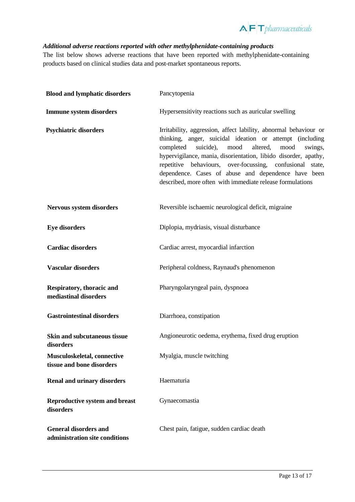

# *Additional adverse reactions reported with other methylphenidate-containing products*

The list below shows adverse reactions that have been reported with methylphenidate-containing products based on clinical studies data and post-market spontaneous reports.

| <b>Blood and lymphatic disorders</b>                           | Pancytopenia                                                                                                                                                                                                                                                                                                                                                                                                                                   |
|----------------------------------------------------------------|------------------------------------------------------------------------------------------------------------------------------------------------------------------------------------------------------------------------------------------------------------------------------------------------------------------------------------------------------------------------------------------------------------------------------------------------|
| <b>Immune system disorders</b>                                 | Hypersensitivity reactions such as auricular swelling                                                                                                                                                                                                                                                                                                                                                                                          |
| <b>Psychiatric disorders</b>                                   | Irritability, aggression, affect lability, abnormal behaviour or<br>thinking, anger, suicidal ideation or attempt (including<br>completed<br>suicide), mood<br>altered,<br>mood<br>swings,<br>hypervigilance, mania, disorientation, libido disorder, apathy,<br>repetitive behaviours, over-focussing, confusional state,<br>dependence. Cases of abuse and dependence have been<br>described, more often with immediate release formulations |
| Nervous system disorders                                       | Reversible ischaemic neurological deficit, migraine                                                                                                                                                                                                                                                                                                                                                                                            |
| <b>Eye disorders</b>                                           | Diplopia, mydriasis, visual disturbance                                                                                                                                                                                                                                                                                                                                                                                                        |
| <b>Cardiac disorders</b>                                       | Cardiac arrest, myocardial infarction                                                                                                                                                                                                                                                                                                                                                                                                          |
| <b>Vascular disorders</b>                                      | Peripheral coldness, Raynaud's phenomenon                                                                                                                                                                                                                                                                                                                                                                                                      |
| Respiratory, thoracic and<br>mediastinal disorders             | Pharyngolaryngeal pain, dyspnoea                                                                                                                                                                                                                                                                                                                                                                                                               |
| <b>Gastrointestinal disorders</b>                              | Diarrhoea, constipation                                                                                                                                                                                                                                                                                                                                                                                                                        |
| <b>Skin and subcutaneous tissue</b><br>disorders               | Angioneurotic oedema, erythema, fixed drug eruption                                                                                                                                                                                                                                                                                                                                                                                            |
| Musculoskeletal, connective<br>tissue and bone disorders       | Myalgia, muscle twitching                                                                                                                                                                                                                                                                                                                                                                                                                      |
| <b>Renal and urinary disorders</b>                             | Haematuria                                                                                                                                                                                                                                                                                                                                                                                                                                     |
| <b>Reproductive system and breast</b><br>disorders             | Gynaecomastia                                                                                                                                                                                                                                                                                                                                                                                                                                  |
| <b>General disorders and</b><br>administration site conditions | Chest pain, fatigue, sudden cardiac death                                                                                                                                                                                                                                                                                                                                                                                                      |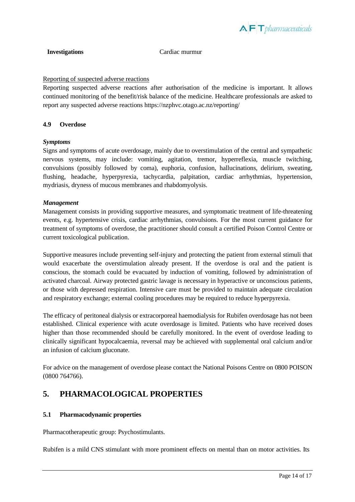

**Investigations** Cardiac murmur

### Reporting of suspected adverse reactions

Reporting suspected adverse reactions after authorisation of the medicine is important. It allows continued monitoring of the benefit/risk balance of the medicine. Healthcare professionals are asked to report any suspected adverse reactions https://nzphvc.otago.ac.nz/reporting/

#### **4.9 Overdose**

#### *Symptoms*

Signs and symptoms of acute overdosage, mainly due to overstimulation of the central and sympathetic nervous systems, may include: vomiting, agitation, tremor, hyperreflexia, muscle twitching, convulsions (possibly followed by coma), euphoria, confusion, hallucinations, delirium, sweating, flushing, headache, hyperpyrexia, tachycardia, palpitation, cardiac arrhythmias, hypertension, mydriasis, dryness of mucous membranes and rhabdomyolysis.

#### *Management*

Management consists in providing supportive measures, and symptomatic treatment of life-threatening events, e.g. hypertensive crisis, cardiac arrhythmias, convulsions. For the most current guidance for treatment of symptoms of overdose, the practitioner should consult a certified Poison Control Centre or current toxicological publication.

Supportive measures include preventing self-injury and protecting the patient from external stimuli that would exacerbate the overstimulation already present. If the overdose is oral and the patient is conscious, the stomach could be evacuated by induction of vomiting, followed by administration of activated charcoal. Airway protected gastric lavage is necessary in hyperactive or unconscious patients, or those with depressed respiration. Intensive care must be provided to maintain adequate circulation and respiratory exchange; external cooling procedures may be required to reduce hyperpyrexia.

The efficacy of peritoneal dialysis or extracorporeal haemodialysis for Rubifen overdosage has not been established. Clinical experience with acute overdosage is limited. Patients who have received doses higher than those recommended should be carefully monitored. In the event of overdose leading to clinically significant hypocalcaemia, reversal may be achieved with supplemental oral calcium and/or an infusion of calcium gluconate.

For advice on the management of overdose please contact the National Poisons Centre on 0800 POISON (0800 764766).

# **5. PHARMACOLOGICAL PROPERTIES**

# **5.1 Pharmacodynamic properties**

Pharmacotherapeutic group: Psychostimulants.

Rubifen is a mild CNS stimulant with more prominent effects on mental than on motor activities. Its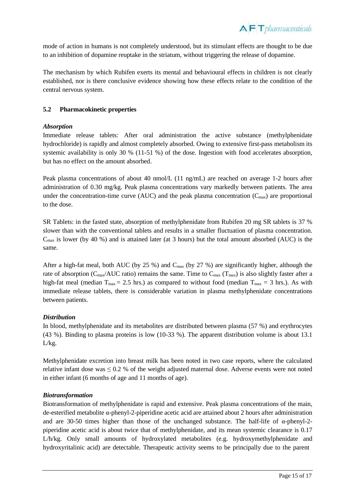$\Lambda$   $\vdash$  T pharmaceuticals

mode of action in humans is not completely understood, but its stimulant effects are thought to be due to an inhibition of dopamine reuptake in the striatum, without triggering the release of dopamine.

The mechanism by which Rubifen exerts its mental and behavioural effects in children is not clearly established, nor is there conclusive evidence showing how these effects relate to the condition of the central nervous system.

# **5.2 Pharmacokinetic properties**

#### *Absorption*

Immediate release tablets: After oral administration the active substance (methylphenidate hydrochloride) is rapidly and almost completely absorbed. Owing to extensive first-pass metabolism its systemic availability is only 30 % (11-51 %) of the dose. Ingestion with food accelerates absorption, but has no effect on the amount absorbed.

Peak plasma concentrations of about 40 nmol/L (11 ng/mL) are reached on average 1-2 hours after administration of 0.30 mg/kg. Peak plasma concentrations vary markedly between patients. The area under the concentration-time curve (AUC) and the peak plasma concentration  $(C_{\text{max}})$  are proportional to the dose.

SR Tablets: in the fasted state, absorption of methylphenidate from Rubifen 20 mg SR tablets is 37 % slower than with the conventional tablets and results in a smaller fluctuation of plasma concentration.  $C_{\text{max}}$  is lower (by 40 %) and is attained later (at 3 hours) but the total amount absorbed (AUC) is the same.

After a high-fat meal, both AUC (by  $25\%$ ) and C<sub>max</sub> (by  $27\%$ ) are significantly higher, although the rate of absorption ( $C_{\text{max}}/AUC$  ratio) remains the same. Time to  $C_{\text{max}}$  ( $T_{\text{max}}$ ) is also slightly faster after a high-fat meal (median  $T_{\text{max}} = 2.5$  hrs.) as compared to without food (median  $T_{\text{max}} = 3$  hrs.). As with immediate release tablets, there is considerable variation in plasma methylphenidate concentrations between patients.

# *Distribution*

In blood, methylphenidate and its metabolites are distributed between plasma (57 %) and erythrocytes (43 %). Binding to plasma proteins is low (10-33 %). The apparent distribution volume is about 13.1 L/kg.

Methylphenidate excretion into breast milk has been noted in two case reports, where the calculated relative infant dose was  $\leq 0.2$  % of the weight adjusted maternal dose. Adverse events were not noted in either infant (6 months of age and 11 months of age).

# *Biotransformation*

Biotransformation of methylphenidate is rapid and extensive. Peak plasma concentrations of the main, de-esterified metabolite  $\alpha$ -phenyl-2-piperidine acetic acid are attained about 2 hours after administration and are 30-50 times higher than those of the unchanged substance. The half-life of α-phenyl-2 piperidine acetic acid is about twice that of methylphenidate, and its mean systemic clearance is 0.17 L/h/kg. Only small amounts of hydroxylated metabolites (e.g. hydroxymethylphenidate and hydroxyritalinic acid) are detectable. Therapeutic activity seems to be principally due to the parent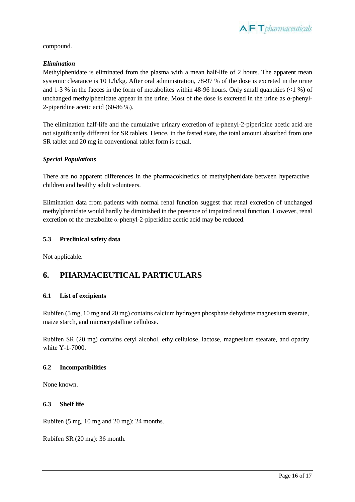

compound.

### *Elimination*

Methylphenidate is eliminated from the plasma with a mean half-life of 2 hours. The apparent mean systemic clearance is 10 L/h/kg. After oral administration, 78-97 % of the dose is excreted in the urine and 1-3 % in the faeces in the form of metabolites within 48-96 hours. Only small quantities  $\langle$ 1 %) of unchanged methylphenidate appear in the urine. Most of the dose is excreted in the urine as α-phenyl-2-piperidine acetic acid (60-86 %).

The elimination half-life and the cumulative urinary excretion of  $\alpha$ -phenyl-2-piperidine acetic acid are not significantly different for SR tablets. Hence, in the fasted state, the total amount absorbed from one SR tablet and 20 mg in conventional tablet form is equal.

#### *Special Populations*

There are no apparent differences in the pharmacokinetics of methylphenidate between hyperactive children and healthy adult volunteers.

Elimination data from patients with normal renal function suggest that renal excretion of unchanged methylphenidate would hardly be diminished in the presence of impaired renal function. However, renal excretion of the metabolite α-phenyl-2-piperidine acetic acid may be reduced.

#### **5.3 Preclinical safety data**

Not applicable.

# **6. PHARMACEUTICAL PARTICULARS**

#### **6.1 List of excipients**

Rubifen (5 mg, 10 mg and 20 mg) contains calcium hydrogen phosphate dehydrate magnesium stearate, maize starch, and microcrystalline cellulose.

Rubifen SR (20 mg) contains cetyl alcohol, ethylcellulose, lactose, magnesium stearate, and opadry white Y-1-7000.

#### **6.2 Incompatibilities**

None known.

#### **6.3 Shelf life**

Rubifen (5 mg, 10 mg and 20 mg): 24 months.

Rubifen SR (20 mg): 36 month.